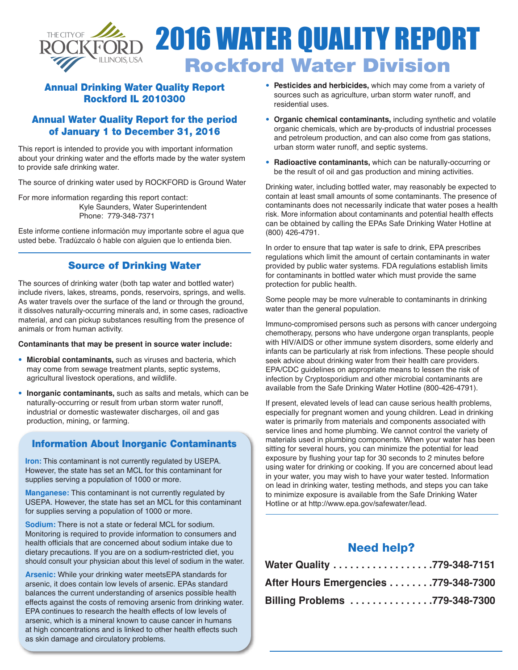

# 2016 WATER QUALITY REPORT **Rockford Water Division**

## **Annual Drinking Water Quality Report Rockford IL 2010300**

#### **Annual Water Quality Report for the period of January 1 to December 31, 2016**

This report is intended to provide you with important information about your drinking water and the efforts made by the water system to provide safe drinking water.

The source of drinking water used by ROCKFORD is Ground Water

For more information regarding this report contact: Kyle Saunders, Water Superintendent Phone: 779-348-7371

Este informe contiene información muy importante sobre el agua que usted bebe. Tradúzcalo ó hable con alguien que lo entienda bien.

#### **Source of Drinking Water**

The sources of drinking water (both tap water and bottled water) include rivers, lakes, streams, ponds, reservoirs, springs, and wells. As water travels over the surface of the land or through the ground, it dissolves naturally-occurring minerals and, in some cases, radioactive material, and can pickup substances resulting from the presence of animals or from human activity.

#### **Contaminants that may be present in source water include:**

- **• Microbial contaminants,** such as viruses and bacteria, which may come from sewage treatment plants, septic systems, agricultural livestock operations, and wildlife.
- **• Inorganic contaminants,** such as salts and metals, which can be naturally-occurring or result from urban storm water runoff, industrial or domestic wastewater discharges, oil and gas production, mining, or farming.

#### **Information About Inorganic Contaminants**

**Iron:** This contaminant is not currently regulated by USEPA. However, the state has set an MCL for this contaminant for supplies serving a population of 1000 or more.

**Manganese:** This contaminant is not currently regulated by USEPA. However, the state has set an MCL for this contaminant for supplies serving a population of 1000 or more.

**Sodium:** There is not a state or federal MCL for sodium. Monitoring is required to provide information to consumers and health officials that are concerned about sodium intake due to dietary precautions. If you are on a sodium-restricted diet, you should consult your physician about this level of sodium in the water.

**Arsenic:** While your drinking water meetsEPA standards for arsenic, it does contain low levels of arsenic. EPAs standard balances the current understanding of arsenics possible health effects against the costs of removing arsenic from drinking water. EPA continues to research the health effects of low levels of arsenic, which is a mineral known to cause cancer in humans at high concentrations and is linked to other health effects such as skin damage and circulatory problems.

- **• Pesticides and herbicides,** which may come from a variety of sources such as agriculture, urban storm water runoff, and residential uses.
- **• Organic chemical contaminants,** including synthetic and volatile organic chemicals, which are by-products of industrial processes and petroleum production, and can also come from gas stations, urban storm water runoff, and septic systems.
- **• Radioactive contaminants,** which can be naturally-occurring or be the result of oil and gas production and mining activities.

Drinking water, including bottled water, may reasonably be expected to contain at least small amounts of some contaminants. The presence of contaminants does not necessarily indicate that water poses a health risk. More information about contaminants and potential health effects can be obtained by calling the EPAs Safe Drinking Water Hotline at (800) 426-4791.

In order to ensure that tap water is safe to drink, EPA prescribes regulations which limit the amount of certain contaminants in water provided by public water systems. FDA regulations establish limits for contaminants in bottled water which must provide the same protection for public health.

Some people may be more vulnerable to contaminants in drinking water than the general population.

Immuno-compromised persons such as persons with cancer undergoing chemotherapy, persons who have undergone organ transplants, people with HIV/AIDS or other immune system disorders, some elderly and infants can be particularly at risk from infections. These people should seek advice about drinking water from their health care providers. EPA/CDC guidelines on appropriate means to lessen the risk of infection by Cryptosporidium and other microbial contaminants are available from the Safe Drinking Water Hotline (800-426-4791).

If present, elevated levels of lead can cause serious health problems, especially for pregnant women and young children. Lead in drinking water is primarily from materials and components associated with service lines and home plumbing. We cannot control the variety of materials used in plumbing components. When your water has been sitting for several hours, you can minimize the potential for lead exposure by flushing your tap for 30 seconds to 2 minutes before using water for drinking or cooking. If you are concerned about lead in your water, you may wish to have your water tested. Information on lead in drinking water, testing methods, and steps you can take to minimize exposure is available from the Safe Drinking Water Hotline or at http://www.epa.gov/safewater/lead.

# **Need help?**

| Water Quality 779-348-7151           |  |
|--------------------------------------|--|
| After Hours Emergencies 779-348-7300 |  |
| Billing Problems 779-348-7300        |  |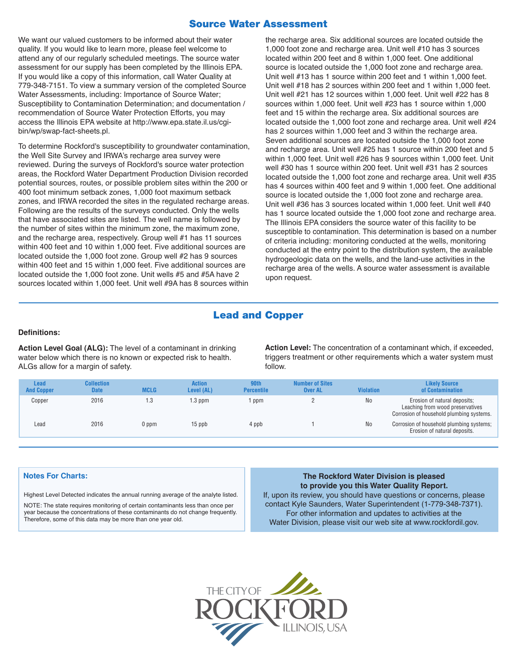#### **Source Water Assessment**

We want our valued customers to be informed about their water quality. If you would like to learn more, please feel welcome to attend any of our regularly scheduled meetings. The source water assessment for our supply has been completed by the Illinois EPA. If you would like a copy of this information, call Water Quality at 779-348-7151. To view a summary version of the completed Source Water Assessments, including: Importance of Source Water; Susceptibility to Contamination Determination; and documentation / recommendation of Source Water Protection Efforts, you may access the Illinois EPA website at http://www.epa.state.il.us/cgibin/wp/swap-fact-sheets.pl.

To determine Rockford's susceptibility to groundwater contamination, the Well Site Survey and IRWA's recharge area survey were reviewed. During the surveys of Rockford's source water protection areas, the Rockford Water Department Production Division recorded potential sources, routes, or possible problem sites within the 200 or 400 foot minimum setback zones, 1,000 foot maximum setback zones, and IRWA recorded the sites in the regulated recharge areas. Following are the results of the surveys conducted. Only the wells that have associated sites are listed. The well name is followed by the number of sites within the minimum zone, the maximum zone, and the recharge area, respectively. Group well #1 has 11 sources within 400 feet and 10 within 1,000 feet. Five additional sources are located outside the 1,000 foot zone. Group well #2 has 9 sources within 400 feet and 15 within 1,000 feet. Five additional sources are located outside the 1,000 foot zone. Unit wells #5 and #5A have 2 sources located within 1,000 feet. Unit well #9A has 8 sources within

the recharge area. Six additional sources are located outside the 1,000 foot zone and recharge area. Unit well #10 has 3 sources located within 200 feet and 8 within 1,000 feet. One additional source is located outside the 1,000 foot zone and recharge area. Unit well #13 has 1 source within 200 feet and 1 within 1,000 feet. Unit well #18 has 2 sources within 200 feet and 1 within 1,000 feet. Unit well #21 has 12 sources within 1,000 feet. Unit well #22 has 8 sources within 1,000 feet. Unit well #23 has 1 source within 1,000 feet and 15 within the recharge area. Six additional sources are located outside the 1,000 foot zone and recharge area. Unit well #24 has 2 sources within 1,000 feet and 3 within the recharge area. Seven additional sources are located outside the 1,000 foot zone and recharge area. Unit well #25 has 1 source within 200 feet and 5 within 1,000 feet. Unit well #26 has 9 sources within 1,000 feet. Unit well #30 has 1 source within 200 feet. Unit well #31 has 2 sources located outside the 1,000 foot zone and recharge area. Unit well #35 has 4 sources within 400 feet and 9 within 1,000 feet. One additional source is located outside the 1,000 foot zone and recharge area. Unit well #36 has 3 sources located within 1,000 feet. Unit well #40 has 1 source located outside the 1,000 foot zone and recharge area. The Illinois EPA considers the source water of this facility to be susceptible to contamination. This determination is based on a number of criteria including: monitoring conducted at the wells, monitoring conducted at the entry point to the distribution system, the available hydrogeologic data on the wells, and the land-use activities in the recharge area of the wells. A source water assessment is available upon request.

# **Lead and Copper**

#### **Definitions:**

**Action Level Goal (ALG):** The level of a contaminant in drinking water below which there is no known or expected risk to health. ALGs allow for a margin of safety.

**Action Level:** The concentration of a contaminant which, if exceeded, triggers treatment or other requirements which a water system must follow.

| <b>Lead</b><br><b>And Copper</b> | <b>Collection</b><br><b>Date</b> | <b>MCLG</b> | <b>Action</b><br>Level (AL) | 90th<br><b>Percentile</b> | <b>Number of Sites</b><br><b>Over AL</b> | <b>Violation</b> | <b>Likely Source</b><br>of Contamination                                                                     |
|----------------------------------|----------------------------------|-------------|-----------------------------|---------------------------|------------------------------------------|------------------|--------------------------------------------------------------------------------------------------------------|
| Copper                           | 2016                             | 1.3         | $1.3$ ppm                   | ppm                       |                                          | <b>No</b>        | Erosion of natural deposits;<br>Leaching from wood preservatives<br>Corrosion of household plumbing systems. |
| Lead                             | 2016                             | 0 ppm       | $15$ ppb                    | 4 ppb                     |                                          | <b>No</b>        | Corrosion of household plumbing systems;<br>Erosion of natural deposits.                                     |

Highest Level Detected indicates the annual running average of the analyte listed.

NOTE: The state requires monitoring of certain contaminants less than once per year because the concentrations of these contaminants do not change frequently. Therefore, some of this data may be more than one year old.

#### **Notes For Charts: The Rockford Water Division is pleased to provide you this Water Quality Report.**

If, upon its review, you should have questions or concerns, please contact Kyle Saunders, Water Superintendent (1-779-348-7371). For other information and updates to activities at the Water Division, please visit our web site at www.rockfordil.gov.